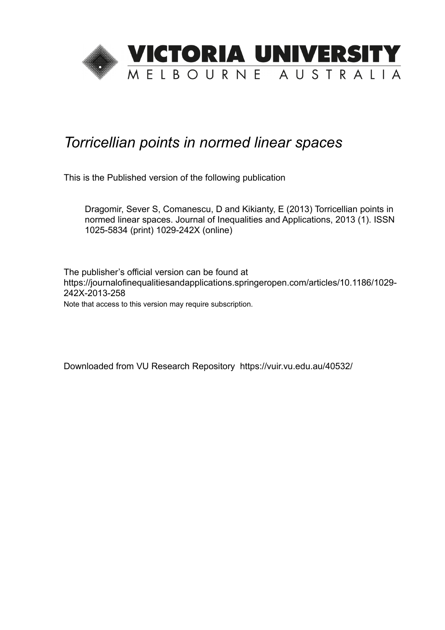

# *Torricellian points in normed linear spaces*

This is the Published version of the following publication

Dragomir, Sever S, Comanescu, D and Kikianty, E (2013) Torricellian points in normed linear spaces. Journal of Inequalities and Applications, 2013 (1). ISSN 1025-5834 (print) 1029-242X (online)

The publisher's official version can be found at https://journalofinequalitiesandapplications.springeropen.com/articles/10.1186/1029- 242X-2013-258 Note that access to this version may require subscription.

Downloaded from VU Research Repository https://vuir.vu.edu.au/40532/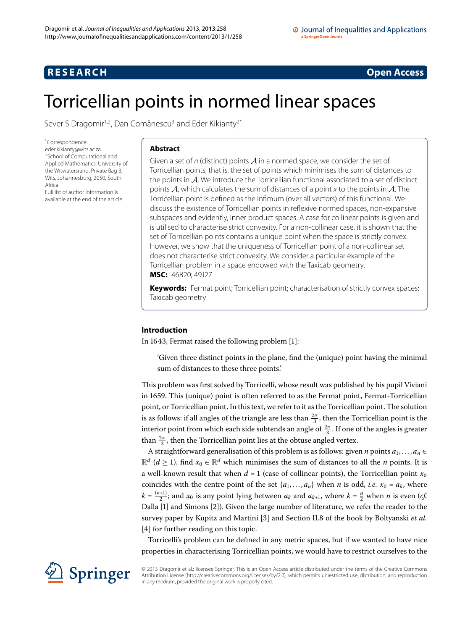## <span id="page-1-0"></span>**R E S E A R C H Open Access**

# Torricellian points in normed linear spaces

Sever S Dragomir<sup>1,[2](#page-14-1)</sup>, Dan Comǎnescu<sup>[3](#page-14-2)</sup> and Eder Kikianty<sup>2[\\*](#page-1-0)</sup>

\* Correspondence: [eder.kikianty@wits.ac.za](mailto:eder.kikianty@wits.ac.za) 2School of Computational and Applied Mathematics, University of the Witwatersrand, Private Bag 3, Wits, Johannesburg, 2050, South Africa Full list of author information is

available at the end of the article

### **Abstract**

Given a set of n (distinct) points  $\mathcal A$  in a normed space, we consider the set of Torricellian points, that is, the set of points which minimises the sum of distances to the points in A. We introduce the Torricellian functional associated to a set of distinct points  $A$ , which calculates the sum of distances of a point x to the points in  $A$ . The Torricellian point is defined as the infimum (over all vectors) of this functional. We discuss the existence of Torricellian points in reflexive normed spaces, non-expansive subspaces and evidently, inner product spaces. A case for collinear points is given and is utilised to characterise strict convexity. For a non-collinear case, it is shown that the set of Torricellian points contains a unique point when the space is strictly convex. However, we show that the uniqueness of Torricellian point of a non-collinear set does not characterise strict convexity. We consider a particular example of the Torricellian problem in a space endowed with the Taxicab geometry. **MSC:** 46B20; 49J27

**Keywords:** Fermat point; Torricellian point; characterisation of strictly convex spaces; Taxicab geometry

#### **Introduction**

In 1643, Fermat raised the following problem  $[1]$  $[1]$ :

'Given three distinct points in the plane, find the (unique) point having the minimal sum of distances to these three points.'

This problem was first solved by Torricelli, whose result was published by his pupil Viviani in 1659. This (unique) point is often referred to as the Fermat point, Fermat-Torricellian point, or Torricellian point. In this text, we refer to it as the Torricellian point. The solution is as follows: if all angles of the triangle are less than  $\frac{2\pi}{3}$ , then the Torricellian point is the interior point from which each side subtends an angle of  $\frac{2\pi}{3}$ . If one of the angles is greater than  $\frac{2\pi}{3}$ , then the Torricellian point lies at the obtuse angled vertex.

A straightforward generalisation of this problem is as follows: given *n* points *a*,..., *an* ∈  $\mathbb{R}^d$  (*d* ≥ 1), find  $x_0 \in \mathbb{R}^d$  which minimises the sum of distances to all the *n* points. It is a well-known result that when  $d = 1$  (case of collinear points), the Torricellian point  $x_0$ coincides with the centre point of the set  $\{a_1, \ldots, a_n\}$  when *n* is odd, *i.e.*  $x_0 = a_k$ , where  $k = \frac{(n+1)}{2}$ ; and  $x_0$  is any point lying between  $a_k$  and  $a_{k+1}$ , where  $k = \frac{n}{2}$  when *n* is even (*cf.* Dalla [\[](#page-14-4)1] and Simons [2]). Given the large number of literature, we refer the reader to the survey paper by Kupitz and Martini [\[](#page-14-5)3] and Section II.8 of the book by Boltyanski et al. [4[\]](#page-14-6) for further reading on this topic.

Torricelli's problem can be defined in any metric spaces, but if we wanted to have nice properties in characterising Torricellian points, we would have to restrict ourselves to the



© 2013 Dragomir et al.; licensee Springer. This is an Open Access article distributed under the terms of the Creative Commons Attribution License [\(http://creativecommons.org/licenses/by/2.0](http://creativecommons.org/licenses/by/2.0)), which permits unrestricted use, distribution, and reproduction in any medium, provided the original work is properly cited.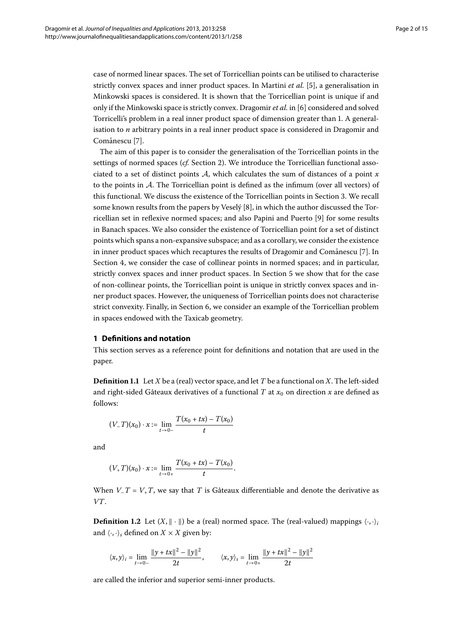case of normed linear spaces. The set of Torricellian points can be utilised to characterise strictly convex spaces and inner product spaces. In Martini *et al.* [\[](#page-14-7)5], a generalisation in Minkowski spaces is considered. It is shown that the Torricellian point is unique if and only if the Minkowski space is strictly convex. Dragomir *et al.* in [6[\]](#page-14-8) considered and solved Torricelli's problem in a real inner product space of dimension greater than . A generalisation to *n* arbitrary points in a real inner product space is considered in Dragomir and Comǎnescu<sup>[7]</sup>.

The aim of this paper is to consider the generalisation of the Torricellian points in the settings of normed spaces (cf. Section 2). We introduce the Torricellian functional associated to a set of distinct points A, which calculates the sum of distances of a point *x* to the points in  $\mathcal{A}$ . The Torricellian point is defined as the infimum (over all vectors) of this functional. We discuss the existence of the Torricellian points in Section 3. We recall some known results from the papers by Veselý [8[\]](#page-14-10), in which the author discussed the Torricellian set in reflexive normed spaces; and also Papini and Puerto [9] for some results in Banach spaces. We also consider the existence of Torricellian point for a set of distinct points which spans a non-expansive subspace; and as a corollary, we consider the existence in inner product spaces which recaptures the results of Dragomir and Comanescu [7[\]](#page-14-9). In Section 4[,](#page-8-0) we consider the case of collinear points in normed spaces; and in particular, strictly convex spaces and inner product spaces. In Section 5 we show that for the case of non-collinear points, the Torricellian point is unique in strictly convex spaces and inner product spaces. However, the uniqueness of Torricellian points does not characterise strict convexity. Finally[,](#page-12-0) in Section 6, we consider an example of the Torricellian problem in spaces endowed with the Taxicab geometry.

#### **1 Definitions and notation**

This section serves as a reference point for definitions and notation that are used in the paper.

**Definition 1.1** Let *X* be a (real) vector space, and let *T* be a functional on *X*. The left-sided and right-sided Gâteaux derivatives of a functional *T* at  $x_0$  on direction *x* are defined as follows:

$$
(V_{-}T)(x_0) \cdot x := \lim_{t \to 0-} \frac{T(x_0 + tx) - T(x_0)}{t}
$$

and

$$
(V_{+}T)(x_{0}) \cdot x := \lim_{t \to 0+} \frac{T(x_{0} + tx) - T(x_{0})}{t}.
$$

When  $V$ <sub>-</sub> $T$  =  $V$ <sub>+</sub> $T$ , we say that  $T$  is Gâteaux differentiable and denote the derivative as *VT*.

**Definition 1.2** Let  $(X, \|\cdot\|)$  be a (real) normed space. The (real-valued) mappings  $\langle \cdot, \cdot \rangle_i$ and  $\langle \cdot, \cdot \rangle_s$  defined on  $X \times X$  given by:

$$
\langle x, y \rangle_i = \lim_{t \to 0-} \frac{\|y + tx\|^2 - \|y\|^2}{2t}, \qquad \langle x, y \rangle_s = \lim_{t \to 0+} \frac{\|y + tx\|^2 - \|y\|^2}{2t}
$$

are called the inferior and superior semi-inner products.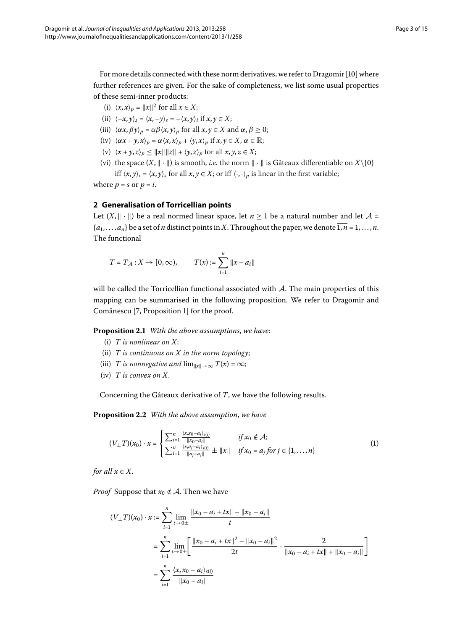For more details connected with these norm derivatives, we refer to Dragomir [10[\]](#page-14-12) where further references are given. For the sake of completeness, we list some usual properties of these semi-inner products:

- (i)  $\langle x, x \rangle_p = ||x||^2$  for all  $x \in X$ ;
- (ii)  $\langle -x, y \rangle_s = \langle x, -y \rangle_s = -\langle x, y \rangle_i$  if  $x, y \in X$ ;
- <span id="page-3-0"></span>(iii)  $\langle \alpha x, \beta y \rangle_p = \alpha \beta \langle x, y \rangle_p$  for all  $x, y \in X$  and  $\alpha, \beta \ge 0$ ;
- (iv)  $\langle \alpha x + y, x \rangle_p = \alpha \langle x, x \rangle_p + \langle y, x \rangle_p$  if  $x, y \in X, \alpha \in \mathbb{R}$ ;
- (v)  $\langle x + y, z \rangle_p \le ||x|| ||z|| + \langle y, z \rangle_p$  for all  $x, y, z \in X$ ;
- (vi) the space  $(X, \|\cdot\|)$  is smooth, *i.e.* the norm  $\|\cdot\|$  is Gâteaux differentiable on  $X\setminus\{0\}$ iff  $\langle x, y \rangle_i = \langle x, y \rangle_s$  for all  $x, y \in X$ ; or iff  $\langle \cdot, \cdot \rangle_p$  is linear in the first variable;

where  $p = s$  or  $p = i$ .

#### **2 Generalisation of Torricellian points**

Let  $(X, \|\cdot\|)$  be a real normed linear space, let  $n \ge 1$  be a natural number and let  $\mathcal{A} =$  ${a_1, \ldots, a_n}$  be a set of *n* distinct points in *X*. Throughout the paper, we denote  $\overline{1, n} = 1, \ldots, n$ . The functional

$$
T = T_A : X \to [0, \infty), \qquad T(x) := \sum_{i=1}^{n} ||x - a_i||
$$

will be called the Torricellian functional associated with  $A$ . The main properties of this mapping can be summarised in the following proposition. We refer to Dragomir and Comǎnescu [7, Proposition 1] for the proof.

**Proposition 2.1** With the above assumptions, we have:

- <span id="page-3-1"></span>(i) *T is nonlinear on X*;
- (ii) *T is continuous on X in the norm topology*;
- (iii) *T* is nonnegative and  $\lim_{||x|| \to \infty} T(x) = \infty$ ;
- (iv) *T is convex on X*.

Concerning the Gâteaux derivative of *T*, we have the following results.

**Proposition 2.2** With the above assumption, we have

$$
(V_{\pm}T)(x_0)\cdot x = \begin{cases} \sum_{i=1}^n \frac{\langle x, x_0 - a_i \rangle_{s(i)}}{\|x_0 - a_i\|} & \text{if } x_0 \notin \mathcal{A}; \\ \sum_{i=1}^n \frac{\langle x, a_j - a_i \rangle_{s(i)}}{\|a_j - a_i\|} \pm \|x\| & \text{if } x_0 = a_j \text{ for } j \in \{1, \dots, n\} \end{cases}
$$
(1)

*for all*  $x \in X$ .

*Proof* Suppose that  $x_0 \notin A$ . Then we have

$$
(V_{\pm}T)(x_0) \cdot x := \sum_{i=1}^{n} \lim_{t \to 0 \pm} \frac{\|x_0 - a_i + tx\| - \|x_0 - a_i\|}{t}
$$
  
= 
$$
\sum_{i=1}^{n} \lim_{t \to 0 \pm} \left[ \frac{\|x_0 - a_i + tx\|^2 - \|x_0 - a_i\|^2}{2t} \cdot \frac{2}{\|x_0 - a_i + tx\| + \|x_0 - a_i\|} \right]
$$
  
= 
$$
\sum_{i=1}^{n} \frac{\langle x, x_0 - a_i \rangle_{s(i)}}{\|x_0 - a_i\|}
$$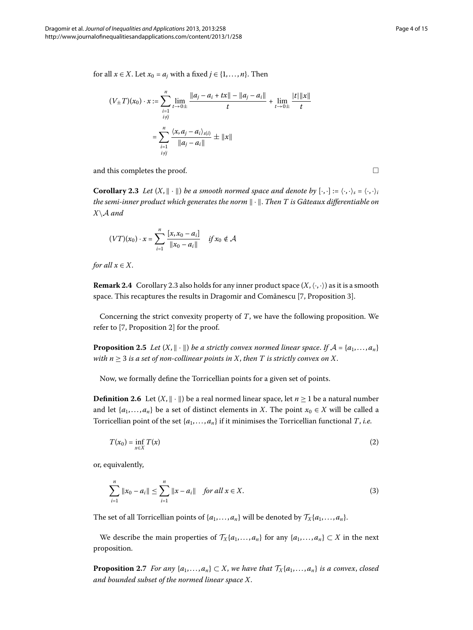for all  $x \in X$ . Let  $x_0 = a_j$  with a fixed  $j \in \{1, ..., n\}$ . Then

<span id="page-4-0"></span>
$$
(V_{\pm}T)(x_0) \cdot x := \sum_{\substack{i=1 \\ i \neq j}}^n \lim_{t \to 0 \pm} \frac{\|a_j - a_i + tx\| - \|a_j - a_i\|}{t} + \lim_{t \to 0 \pm} \frac{|t| \|x\|}{t}
$$

$$
= \sum_{\substack{i=1 \\ i \neq j}}^n \frac{\langle x, a_j - a_i \rangle_{s(i)}}{\|a_j - a_i\|} \pm \|x\|
$$

and this completes the proof.  $\Box$ 

**Corollary 2.3** Let  $(X, \|\cdot\|)$  be a smooth normed space and denote by  $[\cdot, \cdot] := \langle \cdot, \cdot \rangle_{\delta} = \langle \cdot, \cdot \rangle_{\delta}$ *the semi-inner product which generates the norm*  $\|\cdot\|$ . *Then T is Gâteaux differentiable on X*\A *and*

$$
(VT)(x_0) \cdot x = \sum_{i=1}^{n} \frac{[x, x_0 - a_i]}{\|x_0 - a_i\|} \quad \text{if } x_0 \notin \mathcal{A}
$$

*for all*  $x \in X$ .

<span id="page-4-1"></span>**Remark 2[.](#page-4-0)4** Corollary 2.3 also holds for any inner product space  $(X, \langle \cdot, \cdot \rangle)$  as it is a smooth space. This recaptures the results in Dragomir and Comănescu [7[,](#page-14-9) Proposition 3].

Concerning the strict convexity property of *T*, we have the following proposition. We refer to  $[7,$  $[7,$  Proposition 2] for the proof.

**Proposition 2.5** Let  $(X, \|\cdot\|)$  be a strictly convex normed linear space. If  $\mathcal{A} = \{a_1, \dots, a_n\}$ *with*  $n \geq 3$  *is a set of non-collinear points in X, then T is strictly convex on X.* 

Now, we formally define the Torricellian points for a given set of points.

**Definition 2.6** Let  $(X, \|\cdot\|)$  be a real normed linear space, let  $n \ge 1$  be a natural number and let  $\{a_1, \ldots, a_n\}$  be a set of distinct elements in *X*. The point  $x_0 \in X$  will be called a Torricellian point of the set  $\{a_1, \ldots, a_n\}$  if it minimises the Torricellian functional *T*, *i.e.* 

$$
T(x_0) = \inf_{x \in X} T(x) \tag{2}
$$

or, equivalently,

$$
\sum_{i=1}^{n} \|x_0 - a_i\| \le \sum_{i=1}^{n} \|x - a_i\| \quad \text{for all } x \in X.
$$
 (3)

The set of all Torricellian points of  $\{a_1, \ldots, a_n\}$  will be denoted by  $\mathcal{T}_X\{a_1, \ldots, a_n\}$ .

We describe the main properties of  $\mathcal{T}_{X}\{a_1,\ldots,a_n\}$  for any  $\{a_1,\ldots,a_n\} \subset X$  in the next proposition.

**Proposition 2.7** For any  $\{a_1, \ldots, a_n\} \subset X$ , we have that  $\mathcal{T}_X\{a_1, \ldots, a_n\}$  is a convex, closed *and bounded subset of the normed linear space X*.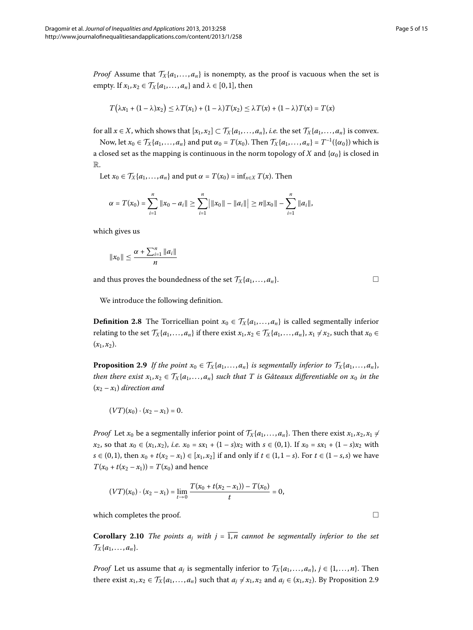*Proof* Assume that  $\mathcal{T}_X\{a_1,\ldots,a_n\}$  is nonempty, as the proof is vacuous when the set is empty. If  $x_1, x_2 \in \mathcal{T}_X\{a_1, \ldots, a_n\}$  and  $\lambda \in [0, 1]$ , then

$$
T(\lambda x_1 + (1 - \lambda)x_2) \leq \lambda T(x_1) + (1 - \lambda)T(x_2) \leq \lambda T(x) + (1 - \lambda)T(x) = T(x)
$$

for all  $x \in X$ , which shows that  $[x_1, x_2] \subset T_X\{a_1, \ldots, a_n\}$ , *i.e.* the set  $T_X\{a_1, \ldots, a_n\}$  is convex.

Now, let  $x_0 \in \mathcal{T}_X\{a_1,\ldots,a_n\}$  and put  $\alpha_0 = T(x_0)$ . Then  $\mathcal{T}_X\{a_1,\ldots,a_n\} = T^{-1}(\{\alpha_0\})$  which is a closed set as the mapping is continuous in the norm topology of *X* and  $\{\alpha_0\}$  is closed in R.

Let  $x_0 \in \mathcal{T}_X\{a_1, \ldots, a_n\}$  and put  $\alpha = T(x_0) = \inf_{x \in X} T(x)$ . Then

$$
\alpha = T(x_0) = \sum_{i=1}^n \|x_0 - a_i\| \ge \sum_{i=1}^n \big| \|x_0\| - \|a_i\| \big| \ge n \|x_0\| - \sum_{i=1}^n \|a_i\|,
$$

which gives us

$$
||x_0|| \leq \frac{\alpha + \sum_{i=1}^n ||a_i||}{n}
$$

and thus proves the boundedness of the set  $\mathcal{T}_X\{a_1,\ldots,a_n\}$ .

<span id="page-5-0"></span>We introduce the following definition.

**Definition 2.8** The Torricellian point  $x_0 \in \mathcal{T}_X\{a_1, \ldots, a_n\}$  is called segmentally inferior relating to the set  $\mathcal{T}_X\{a_1,\ldots,a_n\}$  if there exist  $x_1,x_2\in\mathcal{T}_X\{a_1,\ldots,a_n\}$ ,  $x_1\neq x_2$ , such that  $x_0\in\mathcal{T}_X\{a_1,\ldots,a_n\}$  $(x_1, x_2)$ .

**Proposition 2.9** If the point  $x_0 \in \mathcal{T}_X\{a_1,\ldots,a_n\}$  is segmentally inferior to  $\mathcal{T}_X\{a_1,\ldots,a_n\}$ , *then there exist*  $x_1, x_2 \in \mathcal{T}_X\{a_1, \ldots, a_n\}$  *such that* T *is Gâteaux differentiable on*  $x_0$  *in the*  $(x_2 - x_1)$  direction and

 $(VT)(x_0) \cdot (x_2 - x_1) = 0.$ 

*Proof* Let  $x_0$  be a segmentally inferior point of  $\mathcal{T}_X\{a_1,\ldots,a_n\}$ . Then there exist  $x_1, x_2, x_1 \neq$ *x*<sub>2</sub>, so that *x*<sup>0</sup> ∈ (*x*<sub>1</sub>, *x*<sub>2</sub>), *i.e. x*<sup>0</sup> = *sx*<sub>1</sub> + (1 − *s*)*x*<sub>2</sub> with *s* ∈ (0,1). If *x*<sup>0</sup> = *sx*<sub>1</sub> + (1 − *s*)*x*<sub>2</sub> with *s* ∈ (0, 1), then  $x_0 + t(x_2 - x_1) \in [x_1, x_2]$  if and only if  $t \in (1, 1 - s)$ . For  $t \in (1 - s, s)$  we have  $T(x_0 + t(x_2 - x_1)) = T(x_0)$  and hence

$$
(VT)(x_0)\cdot(x_2-x_1)=\lim_{t\to 0}\frac{T(x_0+t(x_2-x_1))-T(x_0)}{t}=0,
$$

which completes the proof.  $\Box$ 

**Corollary 2.10** The points  $a_j$  with  $j = \overline{1,n}$  cannot be segmentally inferior to the set  $\mathcal{T}_X\{a_1,\ldots,a_n\}.$ 

*Proof* Let us assume that  $a_j$  is segmentally inferior to  $\mathcal{T}_X\{a_1,\ldots,a_n\}$ ,  $j \in \{1,\ldots,n\}$ . Then there exist  $x_1, x_2 \in \mathcal{T}_X\{a_1, \ldots, a_n\}$  such that  $a_j \neq x_1, x_2$  and  $a_j \in (x_1, x_2)$ [.](#page-5-0) By Proposition 2.9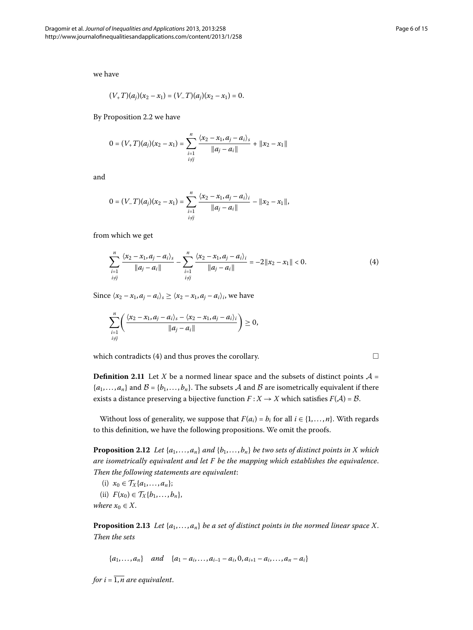we have

$$
(V_{+}T)(a_j)(x_2-x_1)=(V_{-}T)(a_j)(x_2-x_1)=0.
$$

By Proposition 2[.](#page-3-1)2 we have

$$
0 = (V_{+}T)(a_j)(x_2 - x_1) = \sum_{\substack{i=1 \ i \neq j}}^{n} \frac{\langle x_2 - x_1, a_j - a_i \rangle_s}{\|a_j - a_i\|} + \|x_2 - x_1\|
$$

and

$$
0 = (V_{-}T)(a_j)(x_2 - x_1) = \sum_{\substack{i=1 \\ i \neq j}}^{n} \frac{\langle x_2 - x_1, a_j - a_i \rangle_i}{\|a_j - a_i\|} - \|x_2 - x_1\|,
$$

from which we get

$$
\sum_{\substack{i=1\\i\neq j}}^n \frac{\langle x_2 - x_1, a_j - a_i \rangle_s}{\|a_j - a_i\|} - \sum_{\substack{i=1\\i\neq j}}^n \frac{\langle x_2 - x_1, a_j - a_i \rangle_i}{\|a_j - a_i\|} = -2\|x_2 - x_1\| < 0. \tag{4}
$$

Since  $\langle x_2 - x_1, a_i - a_i \rangle_s \geq \langle x_2 - x_1, a_i - a_i \rangle_i$ , we have

$$
\sum_{\substack{i=1 \ i\neq j}}^n \left( \frac{\langle x_2 - x_1, a_j - a_i \rangle_s - \langle x_2 - x_1, a_j - a_i \rangle_i}{\|a_j - a_i\|} \right) \geq 0,
$$

which contradicts (4) and thus proves the corollary.  $\Box$ 

**Definition 2.11** Let *X* be a normed linear space and the subsets of distinct points  $A =$  ${a_1, \ldots, a_n}$  and  $B = {b_1, \ldots, b_n}$ . The subsets A and B are isometrically equivalent if there exists a distance preserving a bijective function  $F: X \to X$  which satisfies  $F(A) = \mathcal{B}$ .

Without loss of generality, we suppose that  $F(a_i) = b_i$  for all  $i \in \{1, ..., n\}$ . With regards to this definition, we have the following propositions. We omit the proofs.

**Proposition 2.12** *Let*  $\{a_1, \ldots, a_n\}$  *and*  $\{b_1, \ldots, b_n\}$  *be two sets of distinct points in X which are isometrically equivalent and let F be the mapping which establishes the equivalence*. *Then the following statements are equivalent*:

- (i)  $x_0 \in \mathcal{T}_X\{a_1, \ldots, a_n\};$
- (ii)  $F(x_0) \in \mathcal{T}_X\{b_1, \ldots, b_n\},\$

*where*  $x_0 \in X$ .

**Proposition 2.13** Let  $\{a_1, \ldots, a_n\}$  be a set of distinct points in the normed linear space X. *Then the sets*

 ${a_1, \ldots, a_n}$  *and*  ${a_1 - a_i, \ldots, a_{i-1} - a_i, 0, a_{i+1} - a_i, \ldots, a_n - a_i}$ 

*for i* =  $\overline{1,n}$  *are equivalent.* 

<span id="page-6-0"></span>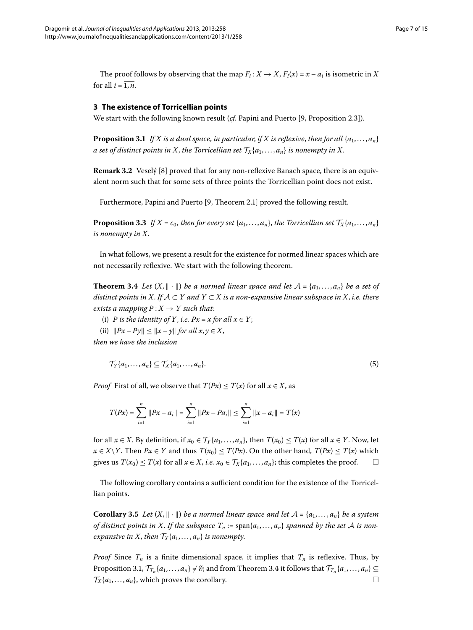<span id="page-7-1"></span><span id="page-7-0"></span>The proof follows by observing that the map  $F_i$ :  $X \rightarrow X$ ,  $F_i(x) = x - a_i$  is isometric in X for all  $i = \overline{1, n}$ .

#### **3 The existence of Torricellian points**

We start with the following known result (*cf.* Papini and Puerto [9[,](#page-14-11) Proposition 2.3]).

**Proposition 3.1** If X is a dual space, in particular, if X is reflexive, then for all  $\{a_1, \ldots, a_n\}$ *a set of distinct points in X, the Torricellian set*  $\mathcal{T}_X\{a_1,\ldots,a_n\}$  *is nonempty in X.* 

**Remark 3.2** Veselý [8[\]](#page-14-10) proved that for any non-reflexive Banach space, there is an equivalent norm such that for some sets of three points the Torricellian point does not exist.

Furthermore[,](#page-14-11) Papini and Puerto [9, Theorem 2.1] proved the following result.

<span id="page-7-2"></span>**Proposition 3.3** If  $X = c_0$ , then for every set  $\{a_1, \ldots, a_n\}$ , the Torricellian set  $\mathcal{T}_X\{a_1, \ldots, a_n\}$ *is nonempty in X*.

In what follows, we present a result for the existence for normed linear spaces which are not necessarily reflexive. We start with the following theorem.

**Theorem 3.4** Let  $(X, \|\cdot\|)$  be a normed linear space and let  $A = \{a_1, \ldots, a_n\}$  be a set of *distinct points in X. If*  $A \subset Y$  *and*  $Y \subset X$  *is a non-expansive linear subspace in X, i.e. there exists a mapping*  $P: X \rightarrow Y$  *such that:* 

(i) *P* is the identity of *Y*, i.e.  $Px = x$  for all  $x \in Y$ ;

(ii)  $||Px - Py|| \le ||x - y||$  *for all*  $x, y \in X$ ,

*then we have the inclusion*

$$
\mathcal{T}_Y\{a_1,\ldots,a_n\} \subseteq \mathcal{T}_X\{a_1,\ldots,a_n\}.
$$
\n
$$
(5)
$$

*Proof* First of all, we observe that  $T(Px) \leq T(x)$  for all  $x \in X$ , as

$$
T(Px) = \sum_{i=1}^{n} \|Px - a_i\| = \sum_{i=1}^{n} \|Px - Pa_i\| \le \sum_{i=1}^{n} \|x - a_i\| = T(x)
$$

for all  $x \in X$ . By definition, if  $x_0 \in \mathcal{T}_Y\{a_1,\ldots,a_n\}$ , then  $T(x_0) \leq T(x)$  for all  $x \in Y$ . Now, let *x* ∈ *X* \*Y*. Then *Px* ∈ *Y* and thus *T*( $x_0$ ) ≤ *T*( $Px$ ). On the other hand, *T*( $Px$ ) ≤ *T*(*x*) which gives us  $T(x_0) \leq T(x)$  for all  $x \in X$ , *i.e.*  $x_0 \in T_X\{a_1, \ldots, a_n\}$ ; this completes the proof.  $\Box$ 

The following corollary contains a sufficient condition for the existence of the Torricellian points.

**Corollary 3.5** Let  $(X, \|\cdot\|)$  be a normed linear space and let  $\mathcal{A} = \{a_1, \ldots, a_n\}$  be a system *of distinct points in X. If the subspace*  $T_n := \text{span}\{a_1, \ldots, a_n\}$  *spanned by the set* A *is nonexpansive in X, then*  $\mathcal{T}_X\{a_1,\ldots,a_n\}$  *is nonempty.* 

*Proof* Since  $T_n$  is a finite dimensional space, it implies that  $T_n$  is reflexive. Thus, by Proposition 3[.](#page-7-2)1,  $\mathcal{T}_{T_n}\{a_1,\ldots,a_n\}\neq\emptyset$ ; and from Theorem 3.4 it follows that  $\mathcal{T}_{T_n}\{a_1,\ldots,a_n\}\subseteq$  $\mathcal{T}_X\{a_1,\ldots,a_n\}$ , which proves the corollary.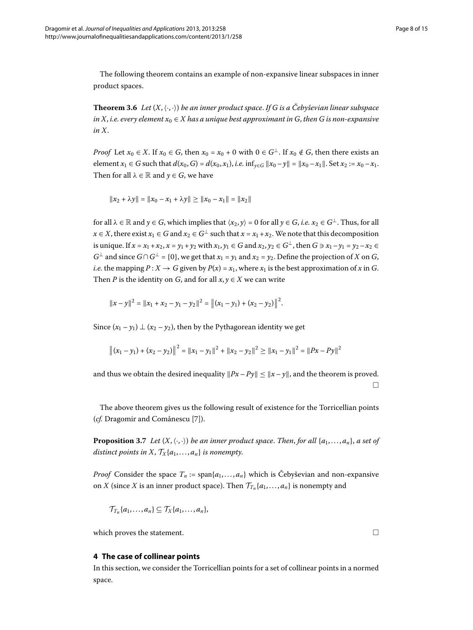The following theorem contains an example of non-expansive linear subspaces in inner product spaces.

**Theorem 3.6** Let  $(X, \langle \cdot, \cdot \rangle)$  be an inner product space. If G is a Čebyševian linear subspace *in X*, *i.e.* every element  $x_0 \in X$  has a unique best approximant in G, then G is non-expansive *in X*.

*Proof* Let  $x_0 \in X$ . If  $x_0 \in G$ , then  $x_0 = x_0 + 0$  with  $0 \in G^{\perp}$ . If  $x_0 \notin G$ , then there exists an element  $x_1 \in G$  such that  $d(x_0, G) = d(x_0, x_1)$ , *i.e.* inf<sub> $y \in G$ </sub>  $||x_0 - y|| = ||x_0 - x_1||$ . Set  $x_2 := x_0 - x_1$ . Then for all  $\lambda \in \mathbb{R}$  and  $y \in G$ , we have

 $||x_2 + \lambda y|| = ||x_0 - x_1 + \lambda y|| > ||x_0 - x_1|| = ||x_2||$ 

for all  $\lambda \in \mathbb{R}$  and  $\gamma \in G$ , which implies that  $\langle x_2, y \rangle = 0$  for all  $\gamma \in G$ , *i.e.*  $x_2 \in G^{\perp}$ . Thus, for all *x* ∈ *X*, there exist  $x_1$  ∈ *G* and  $x_2$  ∈ *G*<sup>⊥</sup> such that  $x = x_1 + x_2$ . We note that this decomposition is unique. If  $x = x_1 + x_2$ ,  $x = y_1 + y_2$  with  $x_1, y_1 \in G$  and  $x_2, y_2 \in G^{\perp}$ , then  $G \ni x_1 - y_1 = y_2 - x_2 \in G$ *G*<sup>⊥</sup> and since *G*∩*G*<sup>⊥</sup> = {0}, we get that *x*<sub>1</sub> = *y*<sub>1</sub> and *x*<sub>2</sub> = *y*<sub>2</sub>. Define the projection of *X* on *G*, *i.e.* the mapping  $P: X \to G$  given by  $P(x) = x_1$ , where  $x_1$  is the best approximation of *x* in *G*. Then *P* is the identity on *G*, and for all  $x, y \in X$  we can write

$$
||x-y||^2 = ||x_1 + x_2 - y_1 - y_2||^2 = ||(x_1 - y_1) + (x_2 - y_2)||^2.
$$

Since  $(x_1 - y_1) \perp (x_2 - y_2)$ , then by the Pythagorean identity we get

$$
\|(x_1 - y_1) + (x_2 - y_2)\|^2 = \|x_1 - y_1\|^2 + \|x_2 - y_2\|^2 \ge \|x_1 - y_1\|^2 = \|Px - Py\|^2
$$

<span id="page-8-1"></span>and thus we obtain the desired inequality  $||Px - Py|| \le ||x - y||$ , and the theorem is proved.  $\Box$ 

The above theorem gives us the following result of existence for the Torricellian points (cf. Dragomir and Comǎnescu [7[\]](#page-14-9)).

**Proposition 3.7** Let  $(X, \langle \cdot, \cdot \rangle)$  be an inner product space. Then, for all  $\{a_1, \ldots, a_n\}$ , a set of *distinct points in X,*  $\mathcal{T}_X\{a_1,\ldots,a_n\}$  *is nonempty.* 

<span id="page-8-0"></span>*Proof* Consider the space  $T_n := \text{span}\{a_1, \ldots, a_n\}$  which is Čebyševian and non-expansive on *X* (since *X* is an inner product space). Then  $\mathcal{T}_{T_n}\{a_1,\ldots,a_n\}$  is nonempty and

$$
\mathcal{T}_{T_n}\{a_1,\ldots,a_n\}\subseteq \mathcal{T}_X\{a_1,\ldots,a_n\},\,
$$

which proves the statement.

#### **4 The case of collinear points**

In this section, we consider the Torricellian points for a set of collinear points in a normed space.

 $\Box$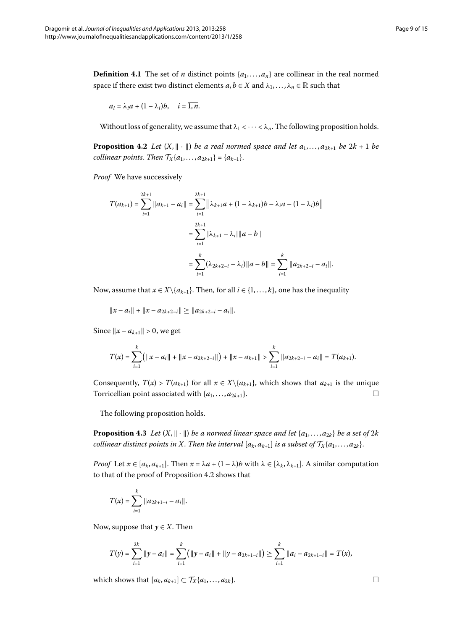<span id="page-9-2"></span><span id="page-9-0"></span>**Definition 4.1** The set of *n* distinct points  $\{a_1, \ldots, a_n\}$  are collinear in the real normed space if there exist two distinct elements  $a, b \in X$  and  $\lambda_1, \ldots, \lambda_n \in \mathbb{R}$  such that

$$
a_i = \lambda_i a + (1 - \lambda_i)b, \quad i = \overline{1, n}.
$$

Without loss of generality, we assume that  $\lambda_1 < \cdots < \lambda_n$ . The following proposition holds.

**Proposition 4.2** Let  $(X, \|\cdot\|)$  be a real normed space and let  $a_1, \ldots, a_{2k+1}$  be  $2k+1$  be *collinear points. Then*  $\mathcal{T}_X\{a_1, ..., a_{2k+1}\} = \{a_{k+1}\}.$ 

*Proof* We have successively

$$
T(a_{k+1}) = \sum_{i=1}^{2k+1} ||a_{k+1} - a_i|| = \sum_{i=1}^{2k+1} ||\lambda_{k+1}a + (1 - \lambda_{k+1})b - \lambda_i a - (1 - \lambda_i)b||
$$
  

$$
= \sum_{i=1}^{2k+1} |\lambda_{k+1} - \lambda_i| ||a - b||
$$
  

$$
= \sum_{i=1}^{k} (\lambda_{2k+2-i} - \lambda_i) ||a - b|| = \sum_{i=1}^{k} ||a_{2k+2-i} - a_i||.
$$

Now, assume that  $x \in X \setminus \{a_{k+1}\}\$ . Then, for all  $i \in \{1, ..., k\}$ , one has the inequality

 $||x - a_i|| + ||x - a_{2k+2-i}|| \ge ||a_{2k+2-i} - a_i||.$ 

Since  $||x - a_{k+1}|| > 0$ , we get

<span id="page-9-1"></span>
$$
T(x) = \sum_{i=1}^{k} (||x - a_i|| + ||x - a_{2k+2-i}||) + ||x - a_{k+1}|| > \sum_{i=1}^{k} ||a_{2k+2-i} - a_i|| = T(a_{k+1}).
$$

Consequently,  $T(x) > T(a_{k+1})$  for all  $x \in X \setminus \{a_{k+1}\}$ , which shows that  $a_{k+1}$  is the unique Torricellian point associated with  $\{a_1, \ldots, a_{2k+1}\}.$  $\Box$ 

The following proposition holds.

**Proposition 4.3** Let  $(X, \|\cdot\|)$  be a normed linear space and let  $\{a_1, \ldots, a_{2k}\}$  be a set of  $2k$ *collinear distinct points in X. Then the interval*  $[a_k, a_{k+1}]$  *is a subset of*  $\mathcal{T}_X\{a_1, \ldots, a_{2k}\}$ .

*Proof* Let  $x \in [a_k, a_{k+1}]$ . Then  $x = \lambda a + (1 - \lambda)b$  with  $\lambda \in [\lambda_k, \lambda_{k+1}]$ . A similar computation to that of the proof of Proposition 4[.](#page-9-0)2 shows that

$$
T(x) = \sum_{i=1}^k ||a_{2k+1-i} - a_i||.
$$

Now, suppose that  $y \in X$ . Then

$$
T(y) = \sum_{i=1}^{2k} ||y - a_i|| = \sum_{i=1}^{k} (||y - a_i|| + ||y - a_{2k+1-i}||) \ge \sum_{i=1}^{k} ||a_i - a_{2k+1-i}|| = T(x),
$$

which shows that  $[a_k, a_{k+1}] \subset \mathcal{T}_X\{a_1, \ldots, a_{2k}\}.$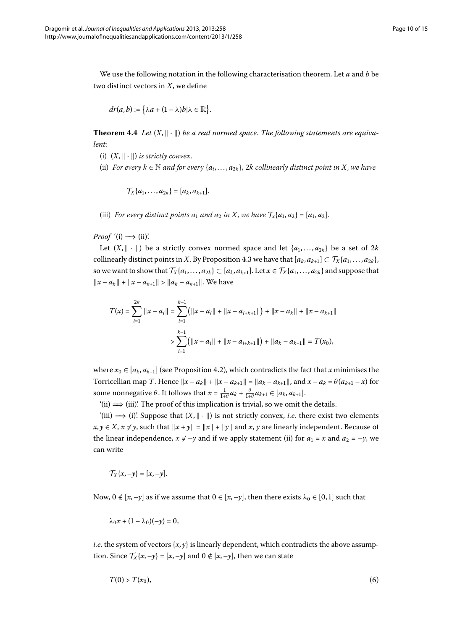<span id="page-10-1"></span>We use the following notation in the following characterisation theorem. Let *a* and *b* be two distinct vectors in *X*, we define

$$
dr(a,b):=\big\{\lambda a+(1-\lambda)b|\lambda\in\mathbb{R}\big\}.
$$

**Theorem 4.4** Let  $(X, \|\cdot\|)$  be a real normed space. The following statements are equiva*lent*:

- (i)  $(X, \| \cdot \|)$  *is strictly convex.*
- (ii) *For every*  $k \in \mathbb{N}$  *and for every*  $\{a_i, \ldots, a_{2k}\}\$ , 2k collinearly distinct point in X, we have

 $\mathcal{T}_{X}{a_{1},...,a_{2k}} = [a_{k}, a_{k+1}].$ 

(iii) *For every distinct points*  $a_1$  *and*  $a_2$  *in X*, *we have*  $\mathcal{T}_x\{a_1, a_2\} = [a_1, a_2]$ .

*Proof*  $'(i) \implies (ii)$ .

Let  $(X, \| \cdot \|)$  be a strictly convex normed space and let  $\{a_1, \ldots, a_{2k}\}\)$  be a set of  $2k$ collinearly distinct points in *X*[.](#page-9-1) By Proposition 4.3 we have that  $[a_k, a_{k+1}] \subset \mathcal{T}_X\{a_1, \ldots, a_{2k}\},$ so we want to show that  $\mathcal{T}_X\{a_1,\ldots,a_{2k}\}\subset [a_k,a_{k+1}].$  Let  $x\in \mathcal{T}_X\{a_1,\ldots,a_{2k}\}\$  and suppose that  $||x - a_k|| + ||x - a_{k+1}|| > ||a_k - a_{k+1}||$ . We have

$$
T(x) = \sum_{i=1}^{2k} ||x - a_i|| = \sum_{i=1}^{k-1} (||x - a_i|| + ||x - a_{i+k+1}||) + ||x - a_k|| + ||x - a_{k+1}||
$$
  

$$
> \sum_{i=1}^{k-1} (||x - a_i|| + ||x - a_{i+k+1}||) + ||a_k - a_{k+1}|| = T(x_0),
$$

where  $x_0 \in [a_k, a_{k+1}]$  (see Proposition 4[.](#page-9-0)2), which contradicts the fact that *x* minimises the Torricellian map *T*. Hence  $||x - a_k|| + ||x - a_{k+1}|| = ||a_k - a_{k+1}||$ , and  $x - a_k = \theta(a_{k+1} - x)$  for some nonnegative  $\theta$ . It follows that  $x = \frac{1}{1+\theta}a_k + \frac{\theta}{1+\theta}a_{k+1} \in [a_k, a_{k+1}].$ 

 $'$ (ii)  $\implies$  (iii)'. The proof of this implication is trivial, so we omit the details.

 $'$ (iii)  $\implies$  (i)'. Suppose that  $(X, \|\cdot\|)$  is not strictly convex, *i.e.* there exist two elements *x*, *y* ∈ *X*, *x* ≠ *y*, such that  $||x + y|| = ||x|| + ||y||$  and *x*, *y* are linearly independent. Because of the linear independence,  $x \neq -y$  and if we apply statement (ii) for  $a_1 = x$  and  $a_2 = -y$ , we can write

$$
\mathcal{T}_X\{x,-y\}=[x,-y].
$$

Now,  $0 \notin [x, -y]$  as if we assume that  $0 \in [x, -y]$ , then there exists  $\lambda_0 \in [0, 1]$  such that

<span id="page-10-0"></span>
$$
\lambda_0 x + (1 - \lambda_0)(-y) = 0,
$$

*i.e.* the system of vectors  $\{x, y\}$  is linearly dependent, which contradicts the above assumption. Since  $\mathcal{T}_X\{x, -y\} = [x, -y]$  and  $0 \notin [x, -y]$ , then we can state

$$
T(0) > T(x_0),\tag{6}
$$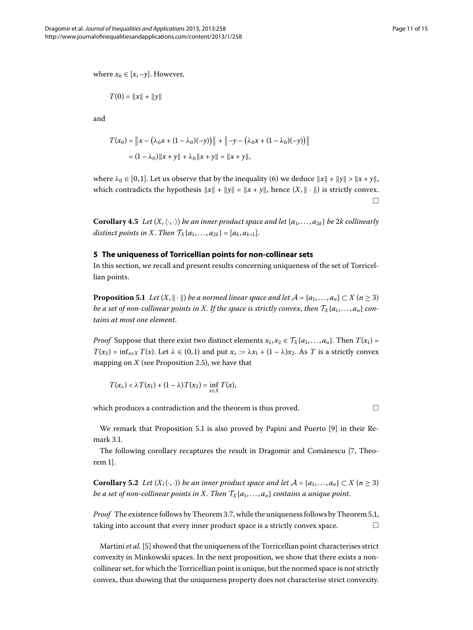where  $x_0 \in [x, -y]$ . However,

$$
T(0) = ||x|| + ||y||
$$

and

$$
T(x_0) = ||x - (\lambda_0 x + (1 - \lambda_0)(-y))|| + ||-y - (\lambda_0 x + (1 - \lambda_0)(-y))||
$$
  
=  $(1 - \lambda_0) ||x + y|| + \lambda_0 ||x + y|| = ||x + y||,$ 

<span id="page-11-0"></span>where  $\lambda_0 \in [0, 1]$ . Let us observe that by the inequality (6) we deduce  $||x|| + ||y|| > ||x + y||$ , which contradicts the hypothesis  $||x|| + ||y|| = ||x + y||$ , hence  $(X, || \cdot ||)$  is strictly convex.  $\Box$ 

<span id="page-11-1"></span>**Corollary 4.5** Let  $(X, \langle \cdot, \cdot \rangle)$  be an inner product space and let  $\{a_1, \ldots, a_{2k}\}$  be 2k collinearly *distinct points in X. Then*  $\mathcal{T}_X\{a_1, ..., a_{2k}\} = [a_k, a_{k+1}].$ 

#### **5 The uniqueness of Torricellian points for non-collinear sets**

In this section, we recall and present results concerning uniqueness of the set of Torricellian points.

**Proposition 5.1** *Let*  $(X, \|\cdot\|)$  *be a normed linear space and let*  $\mathcal{A} = \{a_1, \ldots, a_n\} \subset X$  ( $n \geq 3$ ) *be a set of non-collinear points in X. If the space is strictly convex, then*  $T_X\{a_1,\ldots,a_n\}$  *contains at most one element*.

*Proof* Suppose that there exist two distinct elements  $x_1, x_2 \in \mathcal{T}_X\{a_1, \ldots, a_n\}$ . Then  $T(x_1) =$  $T(x_2) = \inf_{x \in X} T(x)$ . Let  $\lambda \in (0,1)$  and put  $x_\lambda := \lambda x_1 + (1-\lambda)x_2$ . As *T* is a strictly convex mapping on  $X$  (see Proposition 2[.](#page-4-1)5), we have that

$$
T(x_{\lambda}) < \lambda T(x_1) + (1 - \lambda) T(x_2) = \inf_{x \in X} T(x),
$$

which produces a contradiction and the theorem is thus proved.  $\Box$ 

We remark that Proposition 5[.](#page-11-1)1 is also proved by Papini and Puerto [\[](#page-14-11)9] in their Remark 3.1.

The following corollary recaptures the result in Dragomir and Comănescu [7[,](#page-14-9) Theorem 1.

**Corollary 5.2** *Let*  $(X; \langle \cdot, \cdot \rangle)$  *be an inner product space and let*  $\mathcal{A} = \{a_1, \ldots, a_n\} \subset X$  ( $n \geq 3$ ) *be a set of non-collinear points in X. Then*  $\mathcal{T}_X\{a_1,\ldots,a_n\}$  *contains a unique point.* 

*Proof* The existence follows by Theorem 3[.](#page-11-1)7, while the uniqueness follows by Theorem 5.1, taking into account that every inner product space is a strictly convex space.  $\Box$ 

Martini *et al.* [\[](#page-14-7)5] showed that the uniqueness of the Torricellian point characterises strict convexity in Minkowski spaces. In the next proposition, we show that there exists a noncollinear set, for which the Torricellian point is unique, but the normed space is not strictly convex, thus showing that the uniqueness property does not characterise strict convexity.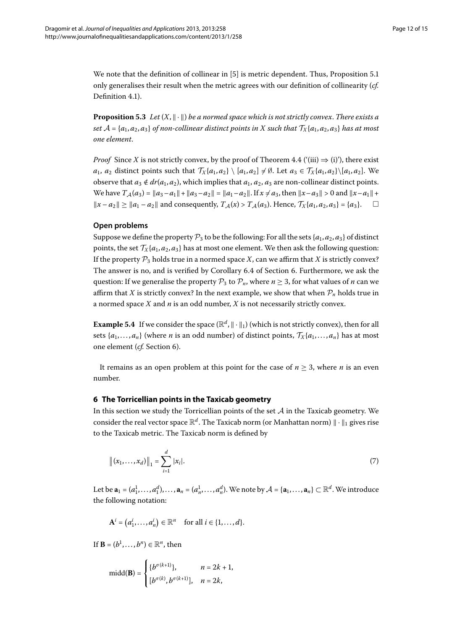We note that the definition of collinear in  $[5]$  $[5]$  is metric dependent[.](#page-11-1) Thus, Proposition 5.1 only generalises their result when the metric agrees with our definition of collinearity (*cf.* Definition 4[.](#page-9-2)1).

**Proposition 5.3** Let  $(X, \|\cdot\|)$  be a normed space which is not strictly convex. There exists a *set*  $A = \{a_1, a_2, a_3\}$  *of non-collinear distinct points in X such that*  $\mathcal{T}_X\{a_1, a_2, a_3\}$  *has at most one element*.

*Proof* Since *X* is not strictly convex, by the proof of Theorem 4[.](#page-10-1)4 ( $'(iii) \Rightarrow (i)$ ), there exist *a*<sub>1</sub>, *a*<sub>2</sub> distinct points such that  $\mathcal{T}_X\{a_1, a_2\} \setminus [a_1, a_2] \neq \emptyset$ . Let  $a_3 \in \mathcal{T}_X\{a_1, a_2\} \setminus [a_1, a_2]$ . We observe that  $a_3 \notin dr(a_1, a_2)$ , which implies that  $a_1, a_2, a_3$  are non-collinear distinct points. We have  $T_A(a_3) = ||a_3 - a_1|| + ||a_3 - a_2|| = ||a_1 - a_2||$ . If  $x \neq a_3$ , then  $||x - a_3|| > 0$  and  $||x - a_1|| +$  $||x - a_2|| \ge ||a_1 - a_2||$  and consequently, *T*<sub>A</sub>(*x*) > *T*<sub>A</sub>(*a*<sub>3</sub>). Hence, *T*<sub>X</sub>{*a*<sub>1</sub>, *a*<sub>2</sub>, *a*<sub>3</sub>} = {*a*<sub>3</sub>}. □

#### **Open problems**

Suppose we define the property  $\mathcal{P}_3$  to be the following: For all the sets { $a_1, a_2, a_3$ } of distinct points, the set  $\mathcal{T}_{X}{a_1, a_2, a_3}$  has at most one element. We then ask the following question: If the property  $P_3$  holds true in a normed space *X*, can we affirm that *X* is strictly convex? The answer is no, and is verified by Corollary 6[.](#page-13-0)4 of Section 6. Furthermore, we ask the question: If we generalise the property  $P_3$  to  $P_n$ , where  $n \geq 3$ , for what values of *n* can we affirm that *X* is strictly convex? In the next example, we show that when  $P_n$  holds true in a normed space *X* and *n* is an odd number, *X* is not necessarily strictly convex.

<span id="page-12-0"></span>**Example 5.4** If we consider the space  $(\mathbb{R}^d, \|\cdot\|_1)$  (which is not strictly convex), then for all sets  $\{a_1, \ldots, a_n\}$  (where *n* is an odd number) of distinct points,  $\mathcal{T}_X\{a_1, \ldots, a_n\}$  has at most one element (*cf.* Section 6).

It remains as an open problem at this point for the case of  $n \geq 3$ , where *n* is an even number.

#### **6 The Torricellian points in the Taxicab geometry**

In this section we study the Torricellian points of the set  $A$  in the Taxicab geometry. We consider the real vector space  $\mathbb{R}^d$ . The Taxicab norm (or Manhattan norm)  $\|\cdot\|_1$  gives rise to the Taxicab metric. The Taxicab norm is defined by

$$
\|(x_1,\ldots,x_d)\|_1 = \sum_{i=1}^d |x_i|.\tag{7}
$$

Let be  $\mathbf{a}_1 = (a_1^1, \ldots, a_1^d), \ldots, \mathbf{a}_n = (a_n^1, \ldots, a_n^d)$ . We note by  $\mathcal{A} = \{\mathbf{a}_1, \ldots, \mathbf{a}_n\} \subset \mathbb{R}^d$ . We introduce the following notation:

$$
\mathbf{A}^i = (a_1^i, \dots, a_n^i) \in \mathbb{R}^n \quad \text{for all } i \in \{1, \dots, d\}.
$$

If  $\mathbf{B} = (b^1, \ldots, b^n) \in \mathbb{R}^n$ , then

$$
\text{midd}(\mathbf{B}) = \begin{cases} \{b^{\sigma(k+1)}\}, & n = 2k+1, \\ [b^{\sigma(k)}, b^{\sigma(k+1)}], & n = 2k, \end{cases}
$$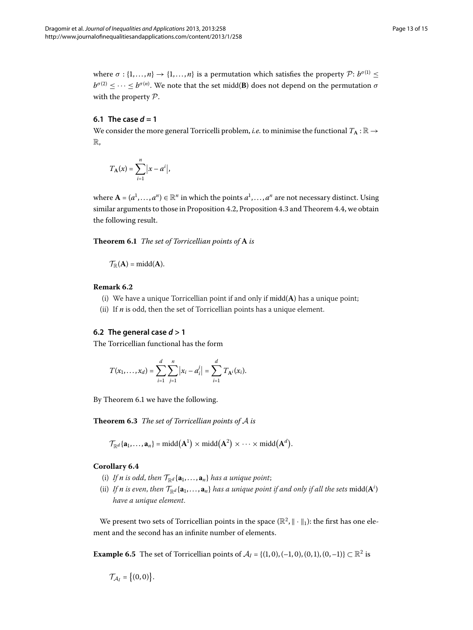where  $\sigma$  : {1, ..., *n*}  $\rightarrow$  {1, ..., *n*} is a permutation which satisfies the property P:  $b^{\sigma(1)} \le$  $b^{\sigma(2)} \leq \cdots \leq b^{\sigma(n)}$ . We note that the set midd(**B**) does not depend on the permutation  $\sigma$ with the property P.

#### **6.1 The case**  $d = 1$

We consider the more general Torricelli problem, *i.e.* to minimise the functional  $T_A : \mathbb{R} \to$ R,

<span id="page-13-1"></span>
$$
T_{\mathbf{A}}(x) = \sum_{i=1}^{n} |x - a^i|,
$$

where  $A = (a^1, \ldots, a^n) \in \mathbb{R}^n$  in which the points  $a^1, \ldots, a^n$  are not necessary distinct. Using similar arguments to those in Proposition 4[.](#page-10-1)2, Proposition 4.3 and Theorem 4.4, we obtain the following result.

**Theorem .** *The set of Torricellian points of* **A** *is*

 $\mathcal{T}_{\mathbb{R}}(A) = \text{midd}(A).$ 

#### **Remark 6.2**

- (i) We have a unique Torricellian point if and only if midd(**A**) has a unique point;
- (ii) If *n* is odd, then the set of Torricellian points has a unique element.

#### **6.2** The general case  $d > 1$

The Torricellian functional has the form

$$
T(x_1,\ldots,x_d)=\sum_{i=1}^d\sum_{j=1}^n\big|x_i-a_i^j\big|=\sum_{i=1}^dT_{\mathbf{A}^i}(x_i).
$$

<span id="page-13-0"></span>By Theorem 6[.](#page-13-1)1 we have the following.

**Theorem .** *The set of Torricellian points of* A *is*

$$
\mathcal{T}_{\mathbb{R}^d}\{\mathbf{a}_1,\ldots,\mathbf{a}_n\}=\mathrm{midd}(\mathbf{A}^1)\times \mathrm{midd}(\mathbf{A}^2)\times\cdots\times \mathrm{midd}(\mathbf{A}^d).
$$

#### **Corollary 6.4**

- (i) If *n* is odd, then  $\mathcal{T}_{\mathbb{R}^d}\{\mathbf{a}_1,\ldots,\mathbf{a}_n\}$  has a unique point;
- (ii) If *n* is even, then  $\mathcal{T}_{\mathbb{R}^d}\{\mathbf{a}_1,\ldots,\mathbf{a}_n\}$  has a unique point if and only if all the sets  $\text{midd}(\mathbf{A}^i)$ *have a unique element*.

We present two sets of Torricellian points in the space  $(\mathbb{R}^2, \|\cdot\|_1)$ : the first has one element and the second has an infinite number of elements.

**Example 6.5** The set of Torricellian points of  $A_I = \{(1, 0), (-1, 0), (0, 1), (0, -1)\} \subset \mathbb{R}^2$  is

$$
\mathcal{T}_{\mathcal{A}_I} = \big\{ (0,0) \big\}.
$$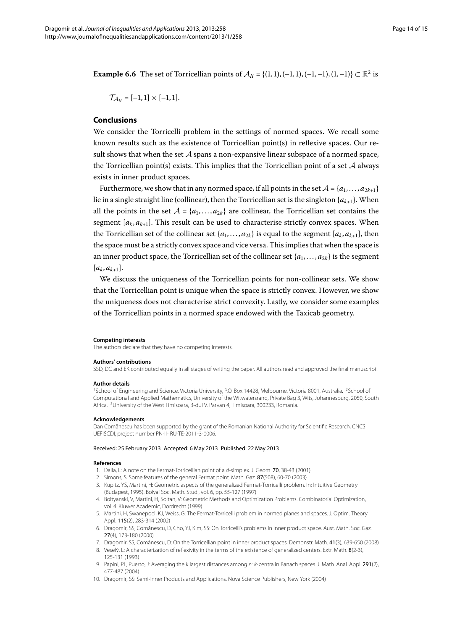**Example 6.6** The set of Torricellian points of  $\mathcal{A}_{II} = \{(1,1), (-1,1), (-1,-1), (1,-1)\}\subset \mathbb{R}^2$  is

$$
\mathcal{T}_{\mathcal{A}_{II}}=[-1,1]\times[-1,1].
$$

#### **Conclusions**

We consider the Torricelli problem in the settings of normed spaces. We recall some known results such as the existence of Torricellian point(s) in reflexive spaces. Our result shows that when the set  $A$  spans a non-expansive linear subspace of a normed space, the Torricellian point(s) exists. This implies that the Torricellian point of a set  $A$  always exists in inner product spaces.

Furthermore, we show that in any normed space, if all points in the set  $A = \{a_1, \ldots, a_{2k+1}\}\$ lie in a single straight line (collinear), then the Torricellian set is the singleton  $\{a_{k+1}\}\$ . When all the points in the set  $A = \{a_1, \ldots, a_{2k}\}\$  are collinear, the Torricellian set contains the segment  $[a_k, a_{k+1}]$ . This result can be used to characterise strictly convex spaces. When the Torricellian set of the collinear set  $\{a_1, \ldots, a_{2k}\}$  is equal to the segment  $[a_k, a_{k+1}]$ , then the space must be a strictly convex space and vice versa. This implies that when the space is an inner product space, the Torricellian set of the collinear set  $\{a_1, \ldots, a_{2k}\}$  is the segment  $[a_k, a_{k+1}].$ 

We discuss the uniqueness of the Torricellian points for non-collinear sets. We show that the Torricellian point is unique when the space is strictly convex. However, we show the uniqueness does not characterise strict convexity. Lastly, we consider some examples of the Torricellian points in a normed space endowed with the Taxicab geometry.

#### <span id="page-14-2"></span><span id="page-14-1"></span><span id="page-14-0"></span>**Competing interests**

The authors declare that they have no competing interests.

#### **Authors' contributions**

SSD, DC and EK contributed equally in all stages of writing the paper. All authors read and approved the final manuscript.

#### **Author details**

<span id="page-14-4"></span><span id="page-14-3"></span><sup>1</sup>School of Engineering and Science, Victoria University, P.O. Box 14428, Melbourne, Victoria 8001, Australia. <sup>2</sup>School of Computational and Applied Mathematics, University of the Witwatersrand, Private Bag 3, Wits, Johannesburg, 2050, South Africa. 3University of the West Timisoara, B-dul V. Parvan 4, Timisoara, 300233, Romania.

#### <span id="page-14-5"></span>**Acknowledgements**

<span id="page-14-6"></span>Dan Comănescu has been supported by the grant of the Romanian National Authority for Scientific Research, CNCS UEFISCDI, project number PN-II- RU-TE-2011-3-0006.

#### <span id="page-14-7"></span>Received: 25 February 2013 Accepted: 6 May 2013 Published: 22 May 2013

#### <span id="page-14-10"></span><span id="page-14-9"></span><span id="page-14-8"></span>**References**

- 1. Dalla, L: A note on the Fermat-Torricellian point of a d-simplex. J. Geom. 70, 38-43 (2001)
- 2. Simons, S: Some features of the general Fermat point. Math. Gaz. 87(508), 60-70 (2003)
- 3. Kupitz, YS, Martini, H: Geometric aspects of the generalized Fermat-Torricelli problem. In: Intuitive Geometry (Budapest, 1995). Bolyai Soc. Math. Stud., vol. 6, pp. 55-127 (1997)
- <span id="page-14-12"></span><span id="page-14-11"></span>4. Boltyanski, V, Martini, H, Soltan, V: Geometric Methods and Optimization Problems. Combinatorial Optimization, vol. 4. Kluwer Academic, Dordrecht (1999)
- 5. Martini, H, Swanepoel, KJ, Weiss, G: The Fermat-Torricelli problem in normed planes and spaces. J. Optim. Theory Appl. 115(2), 283-314 (2002)
- 6. Dragomir, SS, Comanescu, D, Cho, YJ, Kim, SS: On Torricelli's problems in inner product space. Aust. Math. Soc. Gaz. ˘ 27(4), 173-180 (2000)
- 7. Dragomir, SS, Comănescu, D: On the Torricellian point in inner product spaces. Demonstr. Math. 41(3), 639-650 (2008)
- 8. Veselý, L: A characterization of reflexivity in the terms of the existence of generalized centers. Extr. Math. 8(2-3), 125-131 (1993)
- 9. Papini, PL, Puerto, J: Averaging the k largest distances among n: k-centra in Banach spaces. J. Math. Anal. Appl. 291(2), 477-487 (2004)
- 10. Dragomir, SS: Semi-inner Products and Applications. Nova Science Publishers, New York (2004)